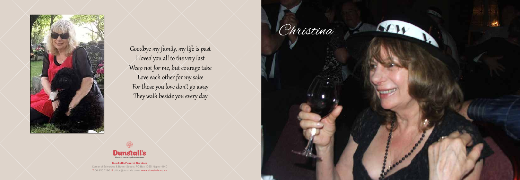#### Dunstall's Funeral Services

Corner of Edwardes & Bower Streets, PO Box 1055, Napier 4140 T 06 835 7196 E office@dunstalls.co.nz www.dunstalls.co.nz



Goodbye my family, my life is past I loved you all to the very last Weep not for me, but courage take Love each other for my sake For those you love don't go away They walk beside you every day